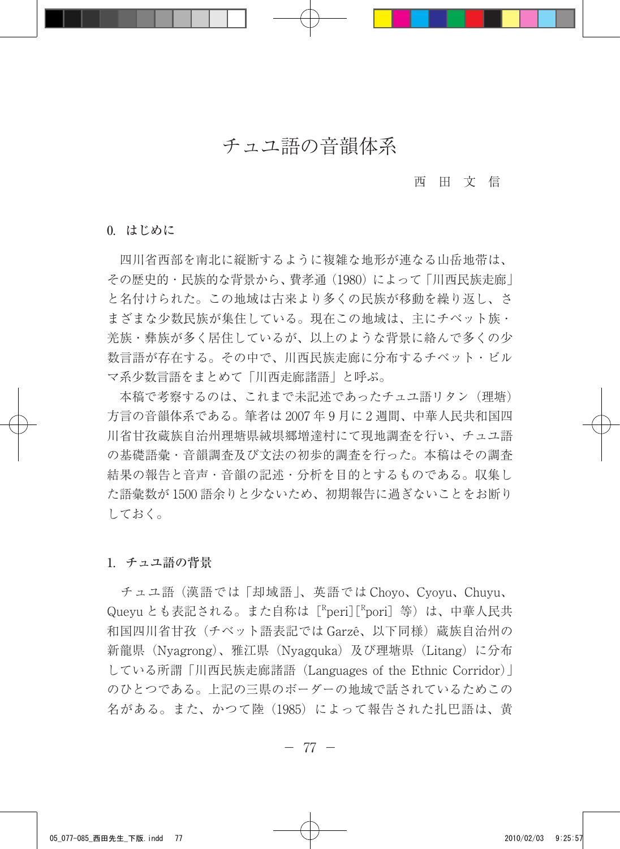# チュユ語の音韻体系

#### 西 田 文 信

#### 0. はじめに

 四川省西部を南北に縦断するように複雑な地形が連なる山岳地帯は、 その歴史的・民族的な背景から、費孝通(1980)によって「川西民族走廊」 と名付けられた。この地域は古来より多くの民族が移動を繰り返し、さ まざまな少数民族が集住している。現在この地域は、主にチベット族・ 羌族・彝族が多く居住しているが、以上のような背景に絡んで多くの少 数言語が存在する。その中で、川西民族走廊に分布するチベット・ビル マ系少数言語をまとめて「川西走廊諸語」と呼ぶ。

 本稿で考察するのは、これまで未記述であったチュユ語リタン(理塘) 方言の音韻体系である。筆者は 2007 年 9 月に 2 週間、中華人民共和国四 川省甘孜蔵族自治州理塘県絨埧郷増達村にて現地調査を行い、チュユ語 の基礎語彙・音韻調査及び文法の初歩的調査を行った。本稿はその調査 結果の報告と音声・音韻の記述・分析を目的とするものである。収集し た語彙数が 1500 語余りと少ないため、初期報告に過ぎないことをお断り しておく。

#### 1. チュユ語の背景

 チュユ語(漢語では「却域語」、英語では Choyo、Cyoyu、Chuyu、 Queyu とも表記される。また自称は [<sup>R</sup>peri] [<sup>R</sup>pori] 等)は、中華人民共 和国四川省甘孜(チベット語表記では Garzê、以下同様)蔵族自治州の 新龍県 (Nyagrong)、雅江県 (Nyagquka) 及び理塘県 (Litang) に分布 している所謂「川西民族走廊諸語(Languages of the Ethnic Corridor)」 のひとつである。上記の三県のボーダーの地域で話されているためこの 名がある。また、かつて陸(1985)によって報告された扎巴語は、黄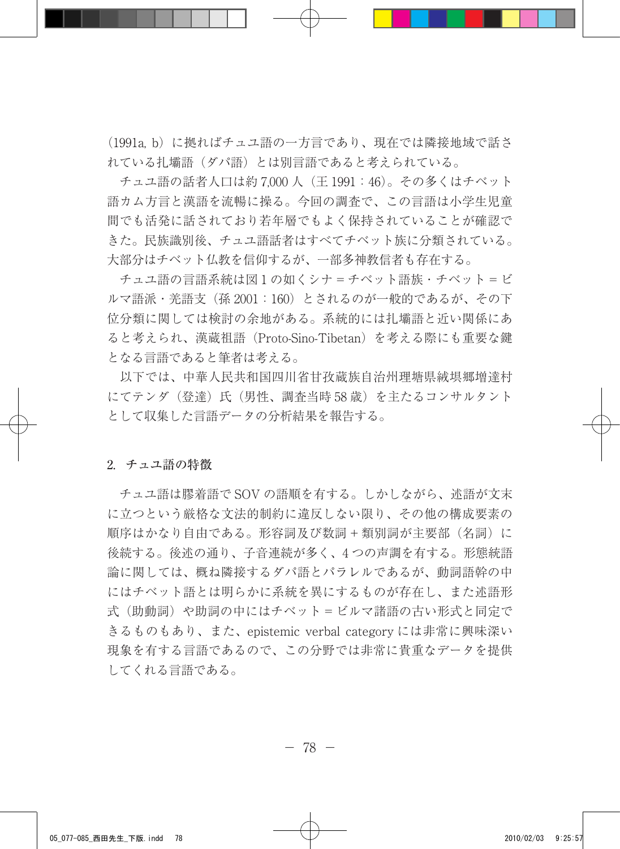(1991a, b)に拠ればチュユ語の一方言であり、現在では隣接地域で話さ れている扎壩語(ダパ語)とは別言語であると考えられている。

 チュユ語の話者人口は約 7,000 人(王 1991:46)。その多くはチベット 語カム方言と漢語を流暢に操る。今回の調査で、この言語は小学生児童 間でも活発に話されており若年層でもよく保持されていることが確認で きた。民族識別後、チュユ語話者はすべてチベット族に分類されている。 大部分はチベット仏教を信仰するが、一部多神教信者も存在する。

 チュユ語の言語系統は図 1 の如くシナ = チベット語族・チベット = ビ ルマ語派・羌語支(孫 2001:160)とされるのが一般的であるが、その下 位分類に関しては検討の余地がある。系統的には扎壩語と近い関係にあ ると考えられ、漢蔵祖語(Proto-Sino-Tibetan)を考える際にも重要な鍵 となる言語であると筆者は考える。

 以下では、中華人民共和国四川省甘孜蔵族自治州理塘県絨埧郷増達村 にてテンダ(登達)氏(男性、調査当時 58歳)を主たるコンサルタント として収集した言語データの分析結果を報告する。

#### 2. チュユ語の特徴

 チュユ語は膠着語で SOV の語順を有する。しかしながら、述語が文末 に立つという厳格な文法的制約に違反しない限り、その他の構成要素の 順序はかなり自由である。形容詞及び数詞+類別詞が主要部(名詞)に 後続する。後述の通り、子音連続が多く、4 つの声調を有する。形態統語 論に関しては、概ね隣接するダパ語とパラレルであるが、動詞語幹の中 にはチベット語とは明らかに系統を異にするものが存在し、また述語形 式(助動詞)や助詞の中にはチベット = ビルマ諸語の古い形式と同定で きるものもあり、また、epistemic verbal category には非常に興味深い 現象を有する言語であるので、この分野では非常に貴重なデータを提供 してくれる言語である。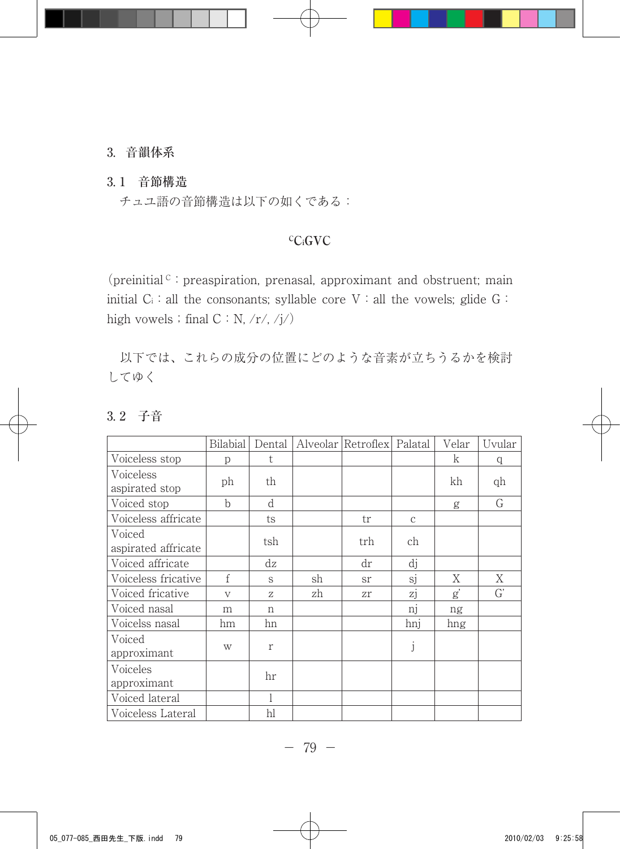### 3. 音韻体系

## 3. 1 音節構造

チュユ語の音節構造は以下の如くである:

### **CCiGVC**

(preinitial  $\circ$ : preaspiration, prenasal, approximant and obstruent; main initial  $Ci$ : all the consonants; syllable core V: all the vowels; glide G: high vowels; final  $C: N, /r/, /j/$ 

 以下では、これらの成分の位置にどのような音素が立ちうるかを検討 してゆく

|                               | Bilabial | Dental |    | Alveolar Retroflex | Palatal        | Velar | Uvular |
|-------------------------------|----------|--------|----|--------------------|----------------|-------|--------|
| Voiceless stop                | p        | t.     |    |                    |                | k     | q      |
| Voiceless<br>aspirated stop   | ph       | th     |    |                    |                | kh    | qh     |
| Voiced stop                   | h        | d      |    |                    |                | g     | G      |
| Voiceless affricate           |          | ts     |    | tr                 | $\mathbf{C}$   |       |        |
| Voiced<br>aspirated affricate |          | tsh    |    | trh                | ch             |       |        |
| Voiced affricate              |          | dz     |    | dr                 | dj             |       |        |
| Voiceless fricative           | f        | S      | sh | sr                 | sj             | X     | X      |
| Voiced fricative              | V        | Z      | zh | zr                 | zj             | g     | G      |
| Voiced nasal                  | m        | n      |    |                    | n <sub>j</sub> | ng    |        |
| Voicelss nasal                | hm       | hn     |    |                    | hnj            | hng   |        |
| Voiced<br>approximant         | W        | r      |    |                    | J              |       |        |
| Voiceles<br>approximant       |          | hr     |    |                    |                |       |        |
| Voiced lateral                |          |        |    |                    |                |       |        |
| Voiceless Lateral             |          | hl     |    |                    |                |       |        |

### 3. 2 子音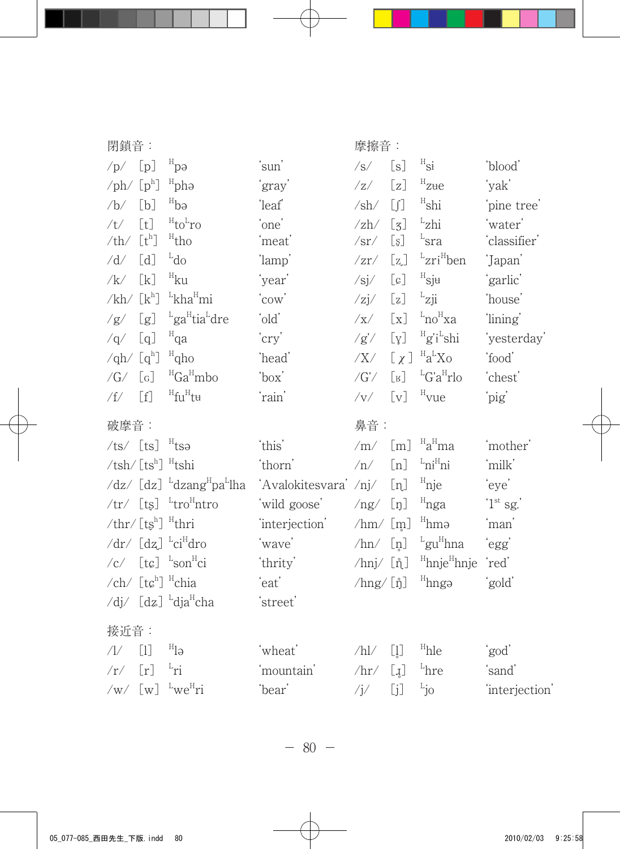| 閉鎖音:                                                              |                         |                                                               |                  | 摩擦音:                            |                                                                 |                                     |              |
|-------------------------------------------------------------------|-------------------------|---------------------------------------------------------------|------------------|---------------------------------|-----------------------------------------------------------------|-------------------------------------|--------------|
| /p/                                                               | [p]                     | $\in \mathbb{q}^{\mathbb{H}}$                                 | ʻsun'            | /s/                             | [s]                                                             | $\mathrm{^{H}Si}$                   | 'blood'      |
| $/\text{ph}/$                                                     | $[p^h]$                 | ${}^{\text{H}}$ phə                                           | ʻgray'           | $\sqrt{z}$                      | [z]                                                             | $H_{Z}He$                           | 'yak'        |
| /b/                                                               | [b]                     | $\operatorname{\sf ed}^{\operatorname{H}}$                    | 'leaf'           | $/\sh/$                         | $[]$                                                            | $\mathrm{^{H}shi}$                  | pine tree    |
| /t/                                                               | [t]                     | $H_{\text{to}}^{\text{H}}$ ro                                 | 'one'            | $\sqrt{zh}/$                    | $\left[\mathbf{z}\right]$                                       | $L$ <sub>zhi</sub>                  | 'water'      |
| $/\text{th}$ /                                                    | $[t^h]$                 | $H_{\text{tho}}$                                              | ʻmeat'           | /sr/                            | [s]                                                             | $L$ <sub>sra</sub>                  | 'classifier' |
| /d/                                                               | [d]                     | $L_{\rm do}$                                                  | ʻlamp            | zr/                             | [z]                                                             | $L_{ZI}$ i <sup>H</sup> ben         | 'Japan'      |
| /k/                                                               | [k]                     | $\mathrm{^{H}ku}$                                             | 'year'           | /sj/                            | $\lbrack c \rbrack$                                             | $H_{\text{Sjft}}$                   | 'garlic'     |
| /kh/                                                              | $\left[k^{h}\right]$    | $L$ kha $H$ mi                                                | 'cow'            | /zj/                            | $\left[\mathbf{z}\right]$                                       | $L_{\text{zji}}$                    | 'house'      |
| /g/                                                               | [g]                     | $L$ ga <sup>H</sup> tia <sup>L</sup> dre                      | 'old'            | $\sqrt{x}$                      | [x]                                                             | $L_{\text{no}}$ <sup>H</sup> xa     | 'lining'     |
| /q/                                                               | [q]                     | ${}^{\text{H}}$ qa                                            | ʻcry'            | /g'                             | [y]                                                             | ${}^{H}g'i$ <sup>L</sup> shi        | 'yesterday'  |
| $\sqrt{qh/2}$                                                     | $\lbrack q^{h} \rbrack$ | $H_{\rm qho}$                                                 | 'head'           | /X/                             | $[\chi]$                                                        | $H_aL_{XO}$                         | 'food'       |
| /G/                                                               | $\lceil G \rceil$       | <sup>H</sup> Ga <sup>H</sup> mbo                              | 'box'            | $/G^{\prime}/$                  | $\left[\begin{smallmatrix} \mathbb{R} \end{smallmatrix}\right]$ | ${}^L G a^H r l o$                  | 'chest'      |
| /f/                                                               | $[f]$                   | ${}^{H}f u {}^{H}t$ u                                         | ʻrain'           | $/\rm{V}/$                      | [v]                                                             | $H$ <sub>VUe</sub>                  | 'pig'        |
|                                                                   |                         |                                                               |                  |                                 |                                                                 |                                     |              |
| 破摩音:                                                              |                         |                                                               |                  | 鼻音:                             |                                                                 |                                     |              |
| $/ts/$ [ts]                                                       |                         | $H_{\text{tso}}$                                              | 'this'           | /m/                             | [m]                                                             | $H_{a}$ <sup>H</sup> ma             | 'mother'     |
|                                                                   |                         | /tsh/ [tsʰ] <sup>H</sup> tshi                                 | 'thorn'          | /n/                             | [n]                                                             | $L_{\text{ni}}$ <sup>H</sup> ni     | 'milk'       |
|                                                                   |                         | $\frac{dz}{dz}$ [dz] $^{L}$ dzang $^{H}$ pa <sup>L</sup> lha  | 'Avalokitesvara' | $/$ nj $/$                      | [n]                                                             | $n_{\text{nje}}$                    | 'eye'        |
|                                                                   |                         | /tr/[tʂ] <sup>L</sup> tro <sup>H</sup> ntro                   | 'wild goose'     | $/$ ng/                         | [n]                                                             |                                     | $1st$ sg.    |
| $/\text{thr}/\left[\text{ts}^{\text{h}}\right]$ <sup>H</sup> thri |                         |                                                               | interjection'    | $/\text{hm}/$                   | [m]                                                             | $n_{\rm Bga}$<br>$H_{\text{hma}}$   | 'man'        |
|                                                                   |                         | $\sqrt{dr}/$ [dz] $^{L}$ ci <sup>H</sup> dro                  | 'wave'           | /hn/                            | [n]                                                             | L <sub>gu</sub> <sup>H</sup> hna    | 'egg'        |
| /c/                                                               |                         | $[$ tc $]$ $\sim$ son <sup>H</sup> ci                         | thrity'          | $/\text{hnj}/[\mathring{\eta}]$ |                                                                 | <sup>H</sup> hnje <sup>H</sup> hnje | 'red'        |
|                                                                   |                         | $/\text{ch}$ [tch] $^{\text{H}}$ chia                         | 'eat'            | $\ln g / [\mathring{\eta}]$     |                                                                 | $E_{\text{h}}$                      | 'gold'       |
|                                                                   |                         | /dj/ [dʑ] <sup>L</sup> dja <sup>H</sup> cha                   | 'street'         |                                 |                                                                 |                                     |              |
| 接近音:                                                              |                         |                                                               |                  |                                 |                                                                 |                                     |              |
| /1/                                                               | $[1]$                   | $\boldsymbol{\varepsilon} \boldsymbol{\mathsf{I}}^{\text{H}}$ | 'wheat'          | /hl/                            | $[]$                                                            | H <sub>H</sub>                      | 'god'        |
| /r/                                                               | [r]                     | $r_{\rm{ri}}$                                                 | mountain         | $\ln r/$                        | $\left[ \begin{smallmatrix} 1 \\ 1 \end{smallmatrix} \right]$   | L <sub>hre</sub>                    | ʻsand'       |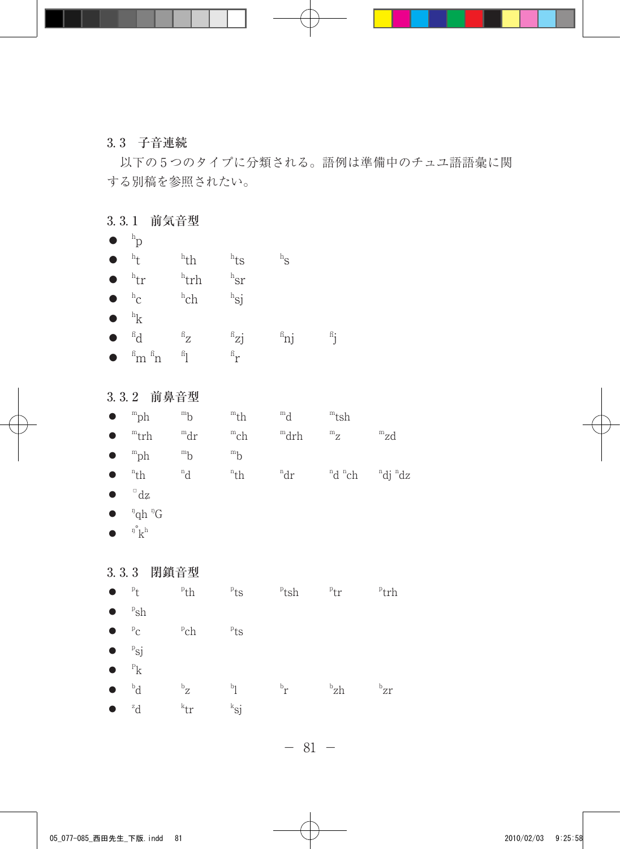### 3. 3 子音連続

 以下の 5 つのタイプに分類される。語例は準備中のチュユ語語彙に関 する別稿を参照されたい。

## 3. 3. 1 前気音型

 $\bullet$  h<sub>p</sub>

| $\bullet$ | $h_{+}$                     | <sup>h</sup> th  | $h_{\text{ts}}$     | $h_S$         |                |
|-----------|-----------------------------|------------------|---------------------|---------------|----------------|
|           | $h_{\text{tr}}$             | h <sub>trh</sub> | $h_{\rm ST}$        |               |                |
| $\bullet$ | $h_{\rm C}$                 | $^{\rm h}$ ch    | $h_{\rm Si}$        |               |                |
| $\bullet$ | $h_{k}$                     |                  |                     |               |                |
| $\bullet$ | $\mathrm{^{\mathrm{fi}}}$ d | $n_Z$            | ${}^{\text{fi}}$ zj | $n_{\rm inj}$ | $\mathbf{f}_1$ |
| $\bullet$ | $n^{\rm fin}$ m             | ĥ1               | $n_{\mathbf{r}}$    |               |                |

## 3. 3. 2 前鼻音型

|           | $m_{\rm ph}$    | $\mathrm{m}_{\mathrm{b}}$ | $m_{\text{th}}$  | $^{\rm m}$ d                        | $m$ tsh                        |                                 |
|-----------|-----------------|---------------------------|------------------|-------------------------------------|--------------------------------|---------------------------------|
|           | $m_{trh}$       | <sup>m</sup> dr           | $m_{ch}$         | mdrh                                | $m_Z$                          | $m_{Zd}$                        |
| $\bullet$ | $m_{\rm ph}$    | $\mathrm{m}_{\mathrm{b}}$ | $\mathrm{m_{b}}$ |                                     |                                |                                 |
| $\bullet$ | $n_{\text{th}}$ | $h^n$                     | $n_{\text{th}}$  | $^{\mathrm{n}}\mathrm{d}\mathrm{r}$ | <sup>n</sup> d <sup>n</sup> ch | <sup>n</sup> di <sup>n</sup> dz |
|           | $^{\circ}$ dz   |                           |                  |                                     |                                |                                 |

- 
- $\bullet$  <sup>n</sup>gh <sup>n</sup>G
- $\bullet$   $\frac{\rho}{k}h$

### 3. 3. 3 閉鎖音型

| $\bullet$ | $P_{t}$        | P <sub>th</sub>    | $P$ ts   | $p$ tsh | $P_{\text{tr}}$   | $P$ trh  |
|-----------|----------------|--------------------|----------|---------|-------------------|----------|
| $\bullet$ | $\mathrm{Psh}$ |                    |          |         |                   |          |
| $\bullet$ | $P_{\rm C}$    | $P$ ch             | $P$ ts   |         |                   |          |
| $\bullet$ | ${}^{p}$ sj    |                    |          |         |                   |          |
| $\bullet$ | $P_{k}$        |                    |          |         |                   |          |
| $\bullet$ | $^{b}d$        | $^{\rm b}{\rm _Z}$ | $b_1$    | $b_{r}$ | $b$ <sub>zh</sub> | $b_{Zr}$ |
| $\bullet$ | ${}^z$ d       | $k_{\text{tr}}$    | $k_{sj}$ |         |                   |          |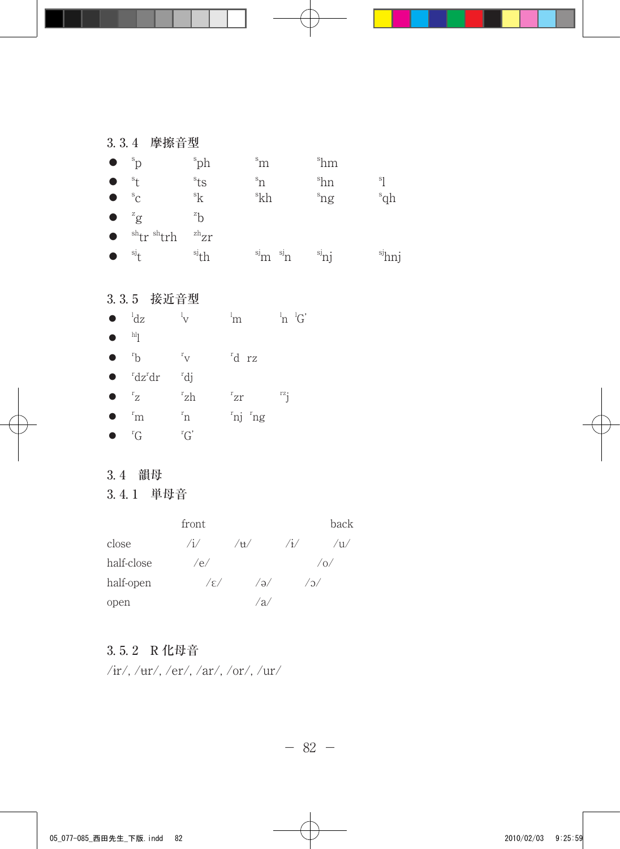## 3. 3. 4 摩擦音型

| $\bullet$ ${}^{\rm s}p$  |                        | <sup>s</sup> ph     | $\mathrm{^{s}m}$             | $\mathrm{^{s}hm}$ |                   |
|--------------------------|------------------------|---------------------|------------------------------|-------------------|-------------------|
|                          | $s_{+}$                | $^{\rm s}$ ts       | $\mathrm{^{s}}_{\mathrm{n}}$ | $^{\rm s}$ hn     | <sup>s</sup> 1    |
| $\bullet$ ${}^{\circ}$ c |                        | ${}^{\rm s}k$       | <sup>s</sup> kh              | <sup>s</sup> ng   | <sup>s</sup> qh   |
| $\bullet$                | $z_{\rm g}$            | z <sub>h</sub>      |                              |                   |                   |
|                          | $\sin^{\text{sh}}$ trh | $z$ h <sub>zr</sub> |                              |                   |                   |
|                          | $sj_{+}$               | <sup>sj</sup> th    | $\sin \sin \theta$           | $\sin$            | <sup>sj</sup> hnj |

## 3. 3. 5 接近音型

| $\bullet$ | ${}^1\mathrm{d}z$          | l <sub>V</sub>    | 'n                  | $\ln$ <sup>1</sup> G'                             |
|-----------|----------------------------|-------------------|---------------------|---------------------------------------------------|
|           | $h\nu$                     |                   |                     |                                                   |
|           | $r_{h}$                    | $r_V$             | rd rz               |                                                   |
|           | $\bullet$ ${}^{r}dz^{r}dr$ | rdi               |                     |                                                   |
|           | $r_{Z}$                    | $r$ <sub>zh</sub> | $r_{Z}$             | $\mathbf{r}$ <sup><math>\mathbf{r}</math></sup> i |
|           | $r_{\rm m}$                | $r_{\rm n}$       | $\int$ nj $\int$ ng |                                                   |
|           | ${}^{r}G$                  | ${}^{r}G'$        |                     |                                                   |

## 3. 4 韻母

## 3. 4. 1 単母音

|            | front                  |     |            | back |
|------------|------------------------|-----|------------|------|
| close      | /i/                    | /H/ | /i/        | /u/  |
| half-close | /e/                    |     | / o/       |      |
| half-open  | $\sqrt{\varepsilon/2}$ | /a/ | $\sqrt{c}$ |      |
| open       |                        | ′a⁄ |            |      |

## 3. 5. 2 R 化母音

/ɨr/, /ʉr/, /er/, /ar/, /or/, /ur/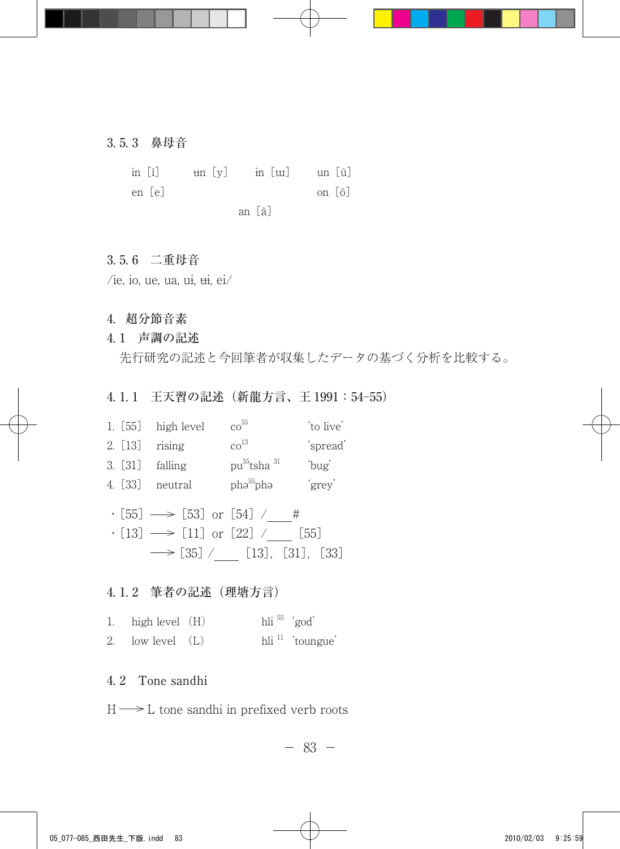#### 3. 5. 3 鼻母音

| in [ĩ] | $\text{tan}$ [y] $\text{in}$ [ $\text{tu}$ ] $\text{un}$ [ $\tilde{\text{u}}$ ] |     |                           |
|--------|---------------------------------------------------------------------------------|-----|---------------------------|
| en [e] |                                                                                 |     | on $[\tilde{\mathrm{o}}]$ |
|        |                                                                                 | - - |                           |

an[ã]

### 3. 5. 6 二重母音

/ie, io, ue, ua, uɨ, ʉɨ, ei/

## 4. 超分節音素

4. 1 声調の記述

先行研究の記述と今回筆者が収集したデータの基づく分析を比較する。

## 4. 1. 1 王天習の記述(新龍方言、王 1991:54–55)

- 1. [55] high level  $\cos^{55}$  'to live'
- 2.  $[13]$  rising  $\cos^{13}$  'spread'
- 3. [31] falling  $pu^{55}$ tsha  $31$  'bug'
- 4.[33] neutral phə55phə 'grey'
- $\cdot$  [55]  $\longrightarrow$  [53] or [54] /\_\_#  $\cdot$  [13]  $\longrightarrow$  [11] or [22] / [55]  $\longrightarrow$  [35] / [13], [31], [33]

### 4.1.2 筆者の記述 (理塘方言)

- 1. high level  $(H)$  hli<sup>55</sup> 'god'
- 2. low level  $(L)$  hli<sup>11</sup> 'toungue'

### 4.2 Tone sandhi

 $H \longrightarrow L$  tone sandhi in prefixed verb roots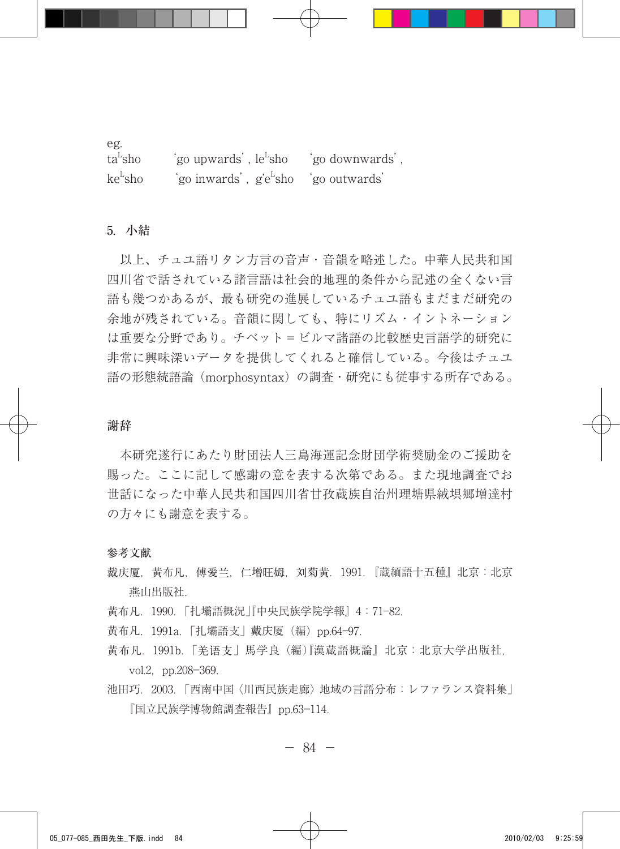eg. ta<sup>L</sup>sho sho 'go upwards', le<sup>L</sup>sho 'go downwards',  $ke^L$ sho sho 'go inwards', g'e<sup>L</sup>sho 'go outwards'

#### 5. 小結

 以上、チュユ語リタン方言の音声・音韻を略述した。中華人民共和国 四川省で話されている諸言語は社会的地理的条件から記述の全くない言 語も幾つかあるが、最も研究の進展しているチュユ語もまだまだ研究の 余地が残されている。音韻に関しても、特にリズム・イントネーション は重要な分野であり。チベット = ビルマ諸語の比較歴史言語学的研究に 非常に興味深いデータを提供してくれると確信している。今後はチュユ 語の形態統語論(morphosyntax)の調査・研究にも従事する所存である。

#### 謝辞

本研究遂行にあたり財団法人三島海運記念財団学術奨励金のご援助を 賜った。ここに記して感謝の意を表する次第である。また現地調査でお 世話になった中華人民共和国四川省甘孜蔵族自治州理塘県絨埧郷増達村 の方々にも謝意を表する。

参考文献

戴庆厦,黄布凡,傅爱兰,仁增旺姆,刘菊黄.1991.『蔵緬語十五種』北京:北京 燕山出版社.

- 黄布凡.1990.「扎壩語概況」『中央民族学院学報』4:71―82.
- 黄布凡.1991a.「扎壩語支」戴庆厦(編)pp.64―97.
- 黄布凡.1991b.「羌语支」馬学良(編)『漢蔵語概論』北京:北京大学出版社, vol.2, pp.208–369.
- 池田巧.2003.「西南中国〈川西民族走廊〉地域の言語分布:レファランス資料集」 『国立民族学博物館調査報告』pp.63―114.